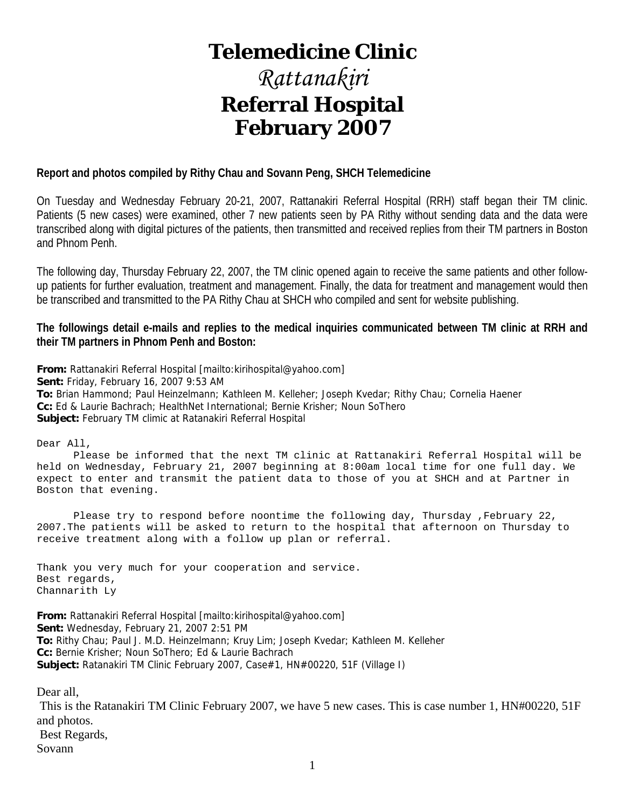### **Telemedicine Clinic**

## *Rattanakiri*  **Referral Hospital February 2007**

#### **Report and photos compiled by Rithy Chau and Sovann Peng, SHCH Telemedicine**

On Tuesday and Wednesday February 20-21, 2007, Rattanakiri Referral Hospital (RRH) staff began their TM clinic. Patients (5 new cases) were examined, other 7 new patients seen by PA Rithy without sending data and the data were transcribed along with digital pictures of the patients, then transmitted and received replies from their TM partners in Boston and Phnom Penh.

The following day, Thursday February 22, 2007, the TM clinic opened again to receive the same patients and other followup patients for further evaluation, treatment and management. Finally, the data for treatment and management would then be transcribed and transmitted to the PA Rithy Chau at SHCH who compiled and sent for website publishing.

**The followings detail e-mails and replies to the medical inquiries communicated between TM clinic at RRH and their TM partners in Phnom Penh and Boston:** 

**From:** Rattanakiri Referral Hospital [mailto:kirihospital@yahoo.com] **Sent:** Friday, February 16, 2007 9:53 AM **To:** Brian Hammond; Paul Heinzelmann; Kathleen M. Kelleher; Joseph Kvedar; Rithy Chau; Cornelia Haener **Cc:** Ed & Laurie Bachrach; HealthNet International; Bernie Krisher; Noun SoThero **Subject:** February TM climic at Ratanakiri Referral Hospital

Dear All,

 Please be informed that the next TM clinic at Rattanakiri Referral Hospital will be held on Wednesday, February 21, 2007 beginning at 8:00am local time for one full day. We expect to enter and transmit the patient data to those of you at SHCH and at Partner in Boston that evening.

 Please try to respond before noontime the following day, Thursday ,February 22, 2007.The patients will be asked to return to the hospital that afternoon on Thursday to receive treatment along with a follow up plan or referral.

Thank you very much for your cooperation and service. Best regards, Channarith Ly

**From:** Rattanakiri Referral Hospital [mailto:kirihospital@yahoo.com] **Sent:** Wednesday, February 21, 2007 2:51 PM **To:** Rithy Chau; Paul J. M.D. Heinzelmann; Kruy Lim; Joseph Kvedar; Kathleen M. Kelleher **Cc:** Bernie Krisher; Noun SoThero; Ed & Laurie Bachrach **Subject:** Ratanakiri TM Clinic February 2007, Case#1, HN#00220, 51F (Village I)

Dear all,

 This is the Ratanakiri TM Clinic February 2007, we have 5 new cases. This is case number 1, HN#00220, 51F and photos. Best Regards, Sovann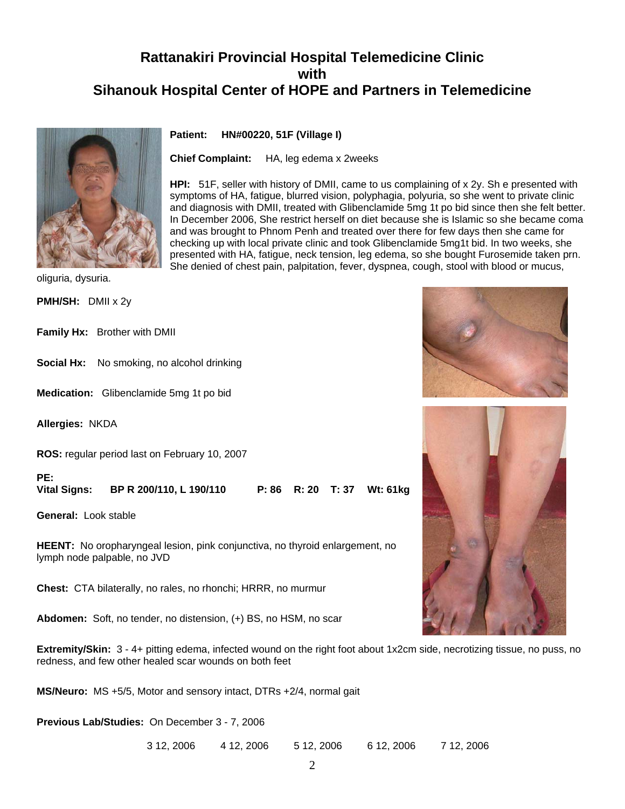

**Patient: HN#00220, 51F (Village I)**

**Chief Complaint:** HA, leg edema x 2weeks

**HPI:** 51F, seller with history of DMII, came to us complaining of x 2y. Sh e presented with symptoms of HA, fatigue, blurred vision, polyphagia, polyuria, so she went to private clinic and diagnosis with DMII, treated with Glibenclamide 5mg 1t po bid since then she felt better. In December 2006, She restrict herself on diet because she is Islamic so she became coma and was brought to Phnom Penh and treated over there for few days then she came for checking up with local private clinic and took Glibenclamide 5mg1t bid. In two weeks, she presented with HA, fatigue, neck tension, leg edema, so she bought Furosemide taken prn. She denied of chest pain, palpitation, fever, dyspnea, cough, stool with blood or mucus,

oliguria, dysuria.

**PMH/SH:** DMII x 2y

**Family Hx:** Brother with DMII

**Social Hx:** No smoking, no alcohol drinking

**Medication:** Glibenclamide 5mg 1t po bid

**Allergies:** NKDA

**ROS:** regular period last on February 10, 2007

**PE: Vital Signs: BP R 200/110, L 190/110 P: 86 R: 20 T: 37 Wt: 61kg**

**General:** Look stable

**HEENT:** No oropharyngeal lesion, pink conjunctiva, no thyroid enlargement, no lymph node palpable, no JVD

**Chest:** CTA bilaterally, no rales, no rhonchi; HRRR, no murmur

**Abdomen:** Soft, no tender, no distension, (+) BS, no HSM, no scar

**Extremity/Skin:** 3 - 4+ pitting edema, infected wound on the right foot about 1x2cm side, necrotizing tissue, no puss, no redness, and few other healed scar wounds on both feet

**MS/Neuro:** MS +5/5, Motor and sensory intact, DTRs +2/4, normal gait

**Previous Lab/Studies:** On December 3 - 7, 2006

3 12, 2006 4 12, 2006 5 12, 2006 6 12, 2006 7 12, 2006



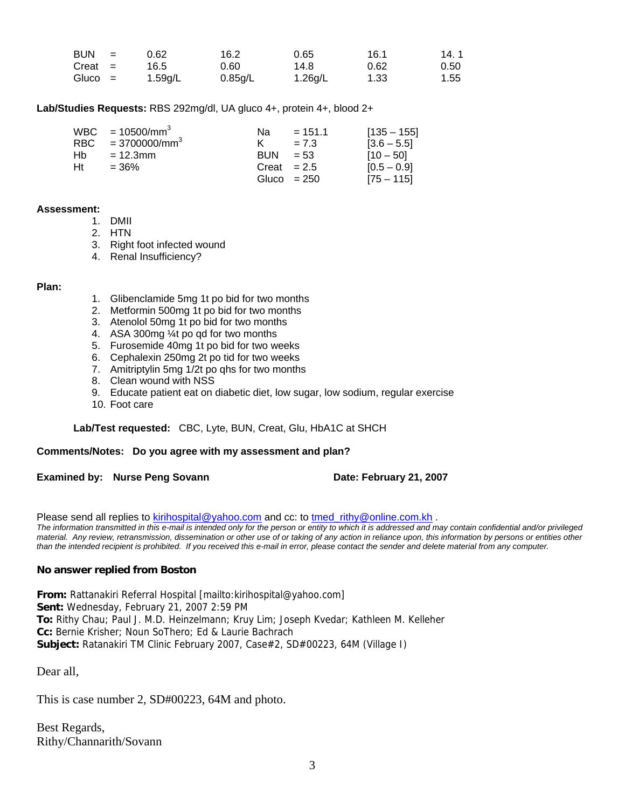| <b>BUN</b> | $\mathbf{r} = \mathbf{r}$ | 0.62    | 16.2    | 0.65    | 16.1 | 14.1 |
|------------|---------------------------|---------|---------|---------|------|------|
| $Create =$ |                           | 16.5    | 0.60    | 14.8    | 0.62 | 0.50 |
| Gluco =    |                           | 1.59g/L | 0.85g/L | 1.26g/L | 1.33 | 1.55 |

#### **Lab/Studies Requests:** RBS 292mg/dl, UA gluco 4+, protein 4+, blood 2+

|      | $WBC = 10500/mm^3$  | Na.            | $= 151.1$     | $[135 - 155]$ |
|------|---------------------|----------------|---------------|---------------|
|      | RBC = $3700000/mm3$ | K.             | $= 7.3$       | $[3.6 - 5.5]$ |
| Hb - | $= 12.3$ mm         | $BUN = 53$     |               | $[10 - 50]$   |
| Ht   | $= 36\%$            | $Create = 2.5$ |               | $[0.5 - 0.9]$ |
|      |                     |                | Gluco $= 250$ | $[75 - 115]$  |

#### **Assessment:**

- 1. DMII
- 2. HTN
- 3. Right foot infected wound
- 4. Renal Insufficiency?

#### **Plan:**

- 1. Glibenclamide 5mg 1t po bid for two months
- 2. Metformin 500mg 1t po bid for two months
- 3. Atenolol 50mg 1t po bid for two months
- 4. ASA 300mg ¼t po qd for two months
- 5. Furosemide 40mg 1t po bid for two weeks
- 6. Cephalexin 250mg 2t po tid for two weeks
- 7. Amitriptylin 5mg 1/2t po qhs for two months
- 8. Clean wound with NSS
- 9. Educate patient eat on diabetic diet, low sugar, low sodium, regular exercise
- 10. Foot care

#### **Lab/Test requested:** CBC, Lyte, BUN, Creat, Glu, HbA1C at SHCH

#### **Comments/Notes: Do you agree with my assessment and plan?**

**Examined by: Nurse Peng Sovann Date: February 21, 2007** 

Please send all replies to [kirihospital@yahoo.com](mailto:kirihospital@yahoo.com) and cc: to tmed rithy@online.com.kh . *The information transmitted in this e-mail is intended only for the person or entity to which it is addressed and may contain confidential and/or privileged material. Any review, retransmission, dissemination or other use of or taking of any action in reliance upon, this information by persons or entities other than the intended recipient is prohibited. If you received this e-mail in error, please contact the sender and delete material from any computer.*

#### **No answer replied from Boston**

**From:** Rattanakiri Referral Hospital [mailto:kirihospital@yahoo.com] **Sent:** Wednesday, February 21, 2007 2:59 PM **To:** Rithy Chau; Paul J. M.D. Heinzelmann; Kruy Lim; Joseph Kvedar; Kathleen M. Kelleher **Cc:** Bernie Krisher; Noun SoThero; Ed & Laurie Bachrach **Subject:** Ratanakiri TM Clinic February 2007, Case#2, SD#00223, 64M (Village I)

Dear all,

This is case number 2, SD#00223, 64M and photo.

Best Regards, Rithy/Channarith/Sovann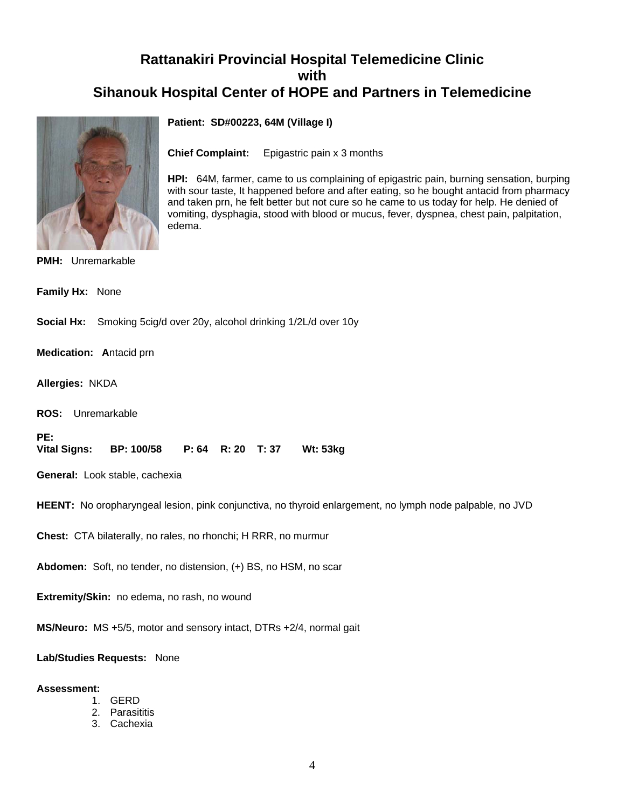

**Patient: SD#00223, 64M (Village I)**

**Chief Complaint:** Epigastric pain x 3 months

**HPI:** 64M, farmer, came to us complaining of epigastric pain, burning sensation, burping with sour taste, It happened before and after eating, so he bought antacid from pharmacy and taken prn, he felt better but not cure so he came to us today for help. He denied of vomiting, dysphagia, stood with blood or mucus, fever, dyspnea, chest pain, palpitation, edema.

#### **PMH:** Unremarkable

**Family Hx:** None

**Social Hx:** Smoking 5cig/d over 20y, alcohol drinking 1/2L/d over 10y

**Medication: A**ntacid prn

**Allergies:** NKDA

**ROS:** Unremarkable

PE:<br>Vital Signs: **Vital Signs: BP: 100/58 P: 64 R: 20 T: 37 Wt: 53kg** 

**General:** Look stable, cachexia

**HEENT:** No oropharyngeal lesion, pink conjunctiva, no thyroid enlargement, no lymph node palpable, no JVD

**Chest:** CTA bilaterally, no rales, no rhonchi; H RRR, no murmur

**Abdomen:** Soft, no tender, no distension, (+) BS, no HSM, no scar

**Extremity/Skin:** no edema, no rash, no wound

**MS/Neuro:** MS +5/5, motor and sensory intact, DTRs +2/4, normal gait

**Lab/Studies Requests:** None

#### **Assessment:**

- 1. GERD
- 2. Parasititis
- 3. Cachexia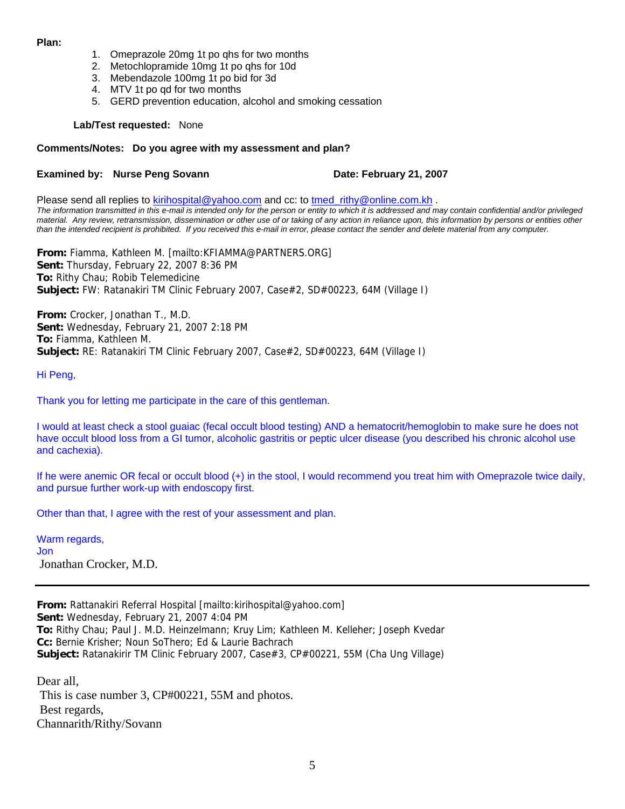#### **Plan:**

- 1. Omeprazole 20mg 1t po qhs for two months
- 2. Metochlopramide 10mg 1t po qhs for 10d
- 3. Mebendazole 100mg 1t po bid for 3d
- 4. MTV 1t po qd for two months
- 5. GERD prevention education, alcohol and smoking cessation

**Lab/Test requested:** None

#### **Comments/Notes: Do you agree with my assessment and plan?**

#### **Examined by: Nurse Peng Sovann Date: February 21, 2007**

Please send all replies to **[kirihospital@yahoo.com](mailto:kirihospital@yahoo.com)** and cc: to tmed rithy@online.com.kh . *The information transmitted in this e-mail is intended only for the person or entity to which it is addressed and may contain confidential and/or privileged material. Any review, retransmission, dissemination or other use of or taking of any action in reliance upon, this information by persons or entities other than the intended recipient is prohibited. If you received this e-mail in error, please contact the sender and delete material from any computer.*

**From:** Fiamma, Kathleen M. [mailto:KFIAMMA@PARTNERS.ORG] **Sent:** Thursday, February 22, 2007 8:36 PM **To:** Rithy Chau; Robib Telemedicine **Subject:** FW: Ratanakiri TM Clinic February 2007, Case#2, SD#00223, 64M (Village I)

**From:** Crocker, Jonathan T., M.D. **Sent:** Wednesday, February 21, 2007 2:18 PM **To:** Fiamma, Kathleen M. **Subject:** RE: Ratanakiri TM Clinic February 2007, Case#2, SD#00223, 64M (Village I)

Hi Peng,

Thank you for letting me participate in the care of this gentleman.

I would at least check a stool guaiac (fecal occult blood testing) AND a hematocrit/hemoglobin to make sure he does not have occult blood loss from a GI tumor, alcoholic gastritis or peptic ulcer disease (you described his chronic alcohol use and cachexia).

If he were anemic OR fecal or occult blood (+) in the stool, I would recommend you treat him with Omeprazole twice daily, and pursue further work-up with endoscopy first.

Other than that, I agree with the rest of your assessment and plan.

Warm regards, Jon Jonathan Crocker, M.D.

**From:** Rattanakiri Referral Hospital [mailto:kirihospital@yahoo.com] **Sent:** Wednesday, February 21, 2007 4:04 PM **To:** Rithy Chau; Paul J. M.D. Heinzelmann; Kruy Lim; Kathleen M. Kelleher; Joseph Kvedar **Cc:** Bernie Krisher; Noun SoThero; Ed & Laurie Bachrach **Subject:** Ratanakirir TM Clinic February 2007, Case#3, CP#00221, 55M (Cha Ung Village)

Dear all, This is case number 3, CP#00221, 55M and photos. Best regards, Channarith/Rithy/Sovann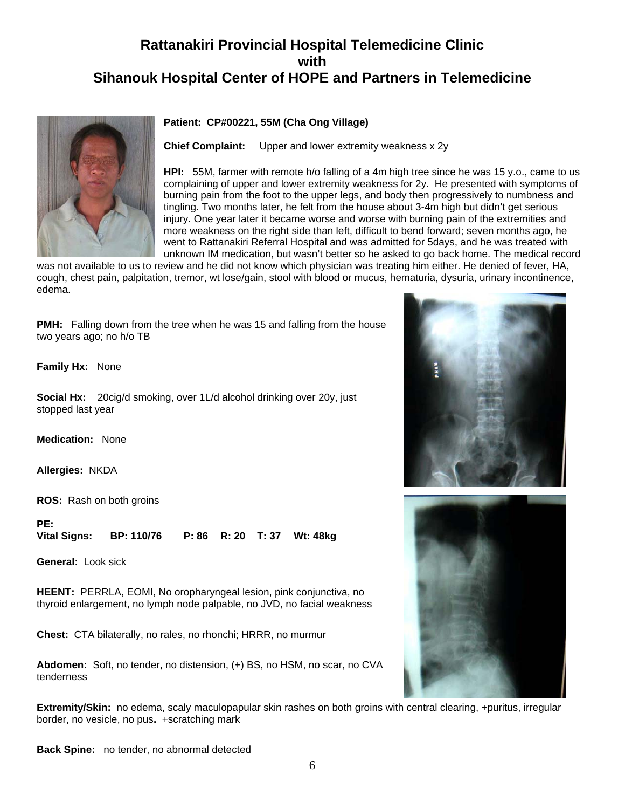

#### **Patient: CP#00221, 55M (Cha Ong Village)**

**Chief Complaint:** Upper and lower extremity weakness x 2y

**HPI:** 55M, farmer with remote h/o falling of a 4m high tree since he was 15 y.o., came to us complaining of upper and lower extremity weakness for 2y. He presented with symptoms of burning pain from the foot to the upper legs, and body then progressively to numbness and tingling. Two months later, he felt from the house about 3-4m high but didn't get serious injury. One year later it became worse and worse with burning pain of the extremities and more weakness on the right side than left, difficult to bend forward; seven months ago, he went to Rattanakiri Referral Hospital and was admitted for 5days, and he was treated with unknown IM medication, but wasn't better so he asked to go back home. The medical record

was not available to us to review and he did not know which physician was treating him either. He denied of fever, HA, cough, chest pain, palpitation, tremor, wt lose/gain, stool with blood or mucus, hematuria, dysuria, urinary incontinence, edema.

**PMH:** Falling down from the tree when he was 15 and falling from the house two years ago; no h/o TB

**Family Hx:** None

**Social Hx:** 20cig/d smoking, over 1L/d alcohol drinking over 20y, just stopped last year

**Medication:** None

**Allergies:** NKDA

**ROS:** Rash on both groins

**PE:** 

**Vital Signs: BP: 110/76 P: 86 R: 20 T: 37 Wt: 48kg**

**General:** Look sick

**HEENT:** PERRLA, EOMI, No oropharyngeal lesion, pink conjunctiva, no thyroid enlargement, no lymph node palpable, no JVD, no facial weakness

**Chest:** CTA bilaterally, no rales, no rhonchi; HRRR, no murmur

**Abdomen:** Soft, no tender, no distension, (+) BS, no HSM, no scar, no CVA tenderness

**Extremity/Skin:** no edema, scaly maculopapular skin rashes on both groins with central clearing, +puritus, irregular border, no vesicle, no pus**.** +scratching mark





**Back Spine:** no tender, no abnormal detected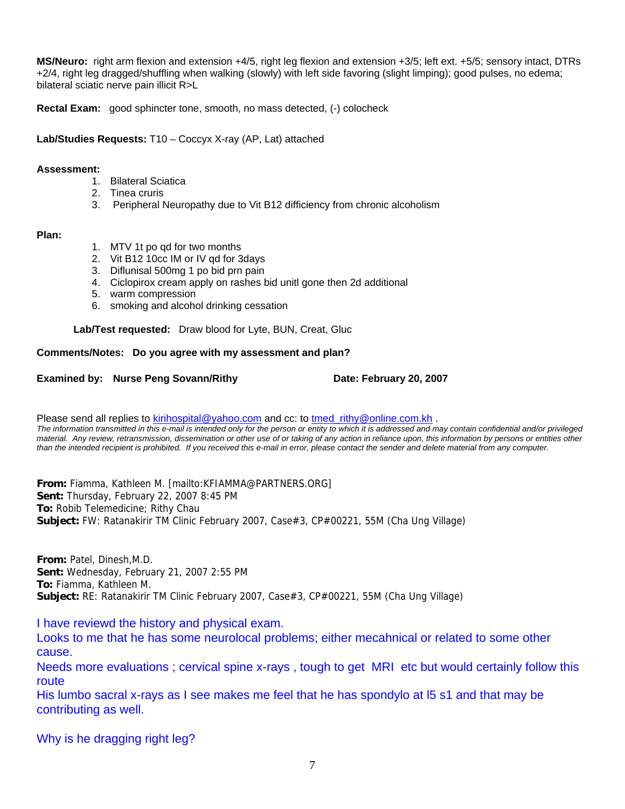**MS/Neuro:** right arm flexion and extension +4/5, right leg flexion and extension +3/5; left ext. +5/5; sensory intact, DTRs +2/4, right leg dragged/shuffling when walking (slowly) with left side favoring (slight limping); good pulses, no edema; bilateral sciatic nerve pain illicit R>L

**Rectal Exam:** good sphincter tone, smooth, no mass detected, (-) colocheck

**Lab/Studies Requests:** T10 – Coccyx X-ray (AP, Lat) attached

#### **Assessment:**

- 1. Bilateral Sciatica
- 2. Tinea cruris
- 3. Peripheral Neuropathy due to Vit B12 difficiency from chronic alcoholism

#### **Plan:**

- 1. MTV 1t po qd for two months
- 2. Vit B12 10cc IM or IV qd for 3days
- 3. Diflunisal 500mg 1 po bid prn pain
- 4. Ciclopirox cream apply on rashes bid unitl gone then 2d additional
- 5. warm compression
- 6. smoking and alcohol drinking cessation

**Lab/Test requested:** Draw blood for Lyte, BUN, Creat, Gluc

#### **Comments/Notes: Do you agree with my assessment and plan?**

#### **Examined by: Nurse Peng Sovann/Rithy <b>Date: February 20, 2007**

Please send all replies to [kirihospital@yahoo.com](mailto:kirihospital@yahoo.com) and cc: to tmed rithy@online.com.kh . *The information transmitted in this e-mail is intended only for the person or entity to which it is addressed and may contain confidential and/or privileged material. Any review, retransmission, dissemination or other use of or taking of any action in reliance upon, this information by persons or entities other than the intended recipient is prohibited. If you received this e-mail in error, please contact the sender and delete material from any computer.*

**From:** Fiamma, Kathleen M. [mailto:KFIAMMA@PARTNERS.ORG] **Sent:** Thursday, February 22, 2007 8:45 PM **To:** Robib Telemedicine; Rithy Chau **Subject:** FW: Ratanakirir TM Clinic February 2007, Case#3, CP#00221, 55M (Cha Ung Village)

**From:** Patel, Dinesh,M.D. **Sent:** Wednesday, February 21, 2007 2:55 PM **To:** Fiamma, Kathleen M. **Subject:** RE: Ratanakirir TM Clinic February 2007, Case#3, CP#00221, 55M (Cha Ung Village)

I have reviewd the history and physical exam.

Looks to me that he has some neurolocal problems; either mecahnical or related to some other cause.

Needs more evaluations ; cervical spine x-rays , tough to get MRI etc but would certainly follow this route

His lumbo sacral x-rays as I see makes me feel that he has spondylo at l5 s1 and that may be contributing as well.

Why is he dragging right leg?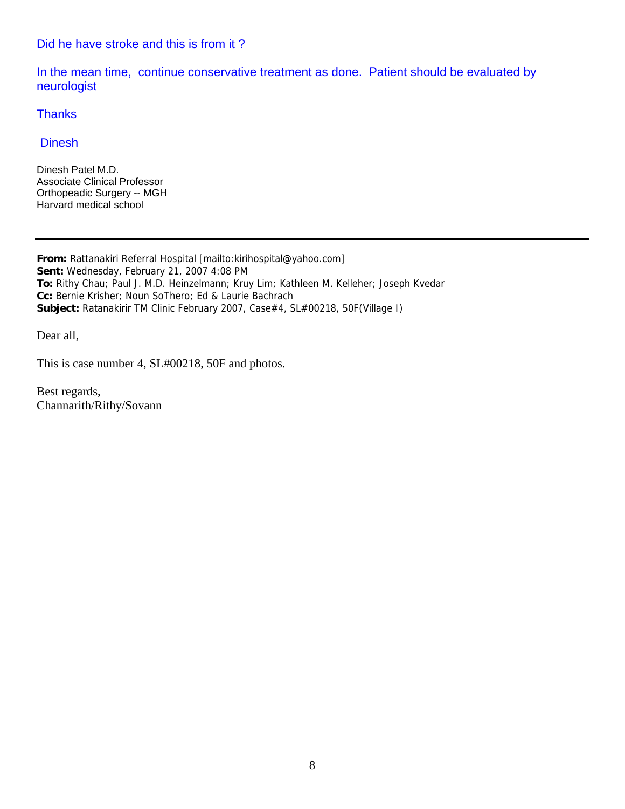#### Did he have stroke and this is from it ?

In the mean time, continue conservative treatment as done. Patient should be evaluated by neurologist

**Thanks** 

#### **Dinesh**

Dinesh Patel M.D. Associate Clinical Professor Orthopeadic Surgery -- MGH Harvard medical school

**From:** Rattanakiri Referral Hospital [mailto:kirihospital@yahoo.com] **Sent:** Wednesday, February 21, 2007 4:08 PM **To:** Rithy Chau; Paul J. M.D. Heinzelmann; Kruy Lim; Kathleen M. Kelleher; Joseph Kvedar **Cc:** Bernie Krisher; Noun SoThero; Ed & Laurie Bachrach **Subject:** Ratanakirir TM Clinic February 2007, Case#4, SL#00218, 50F(Village I)

Dear all,

This is case number 4, SL#00218, 50F and photos.

Best regards, Channarith/Rithy/Sovann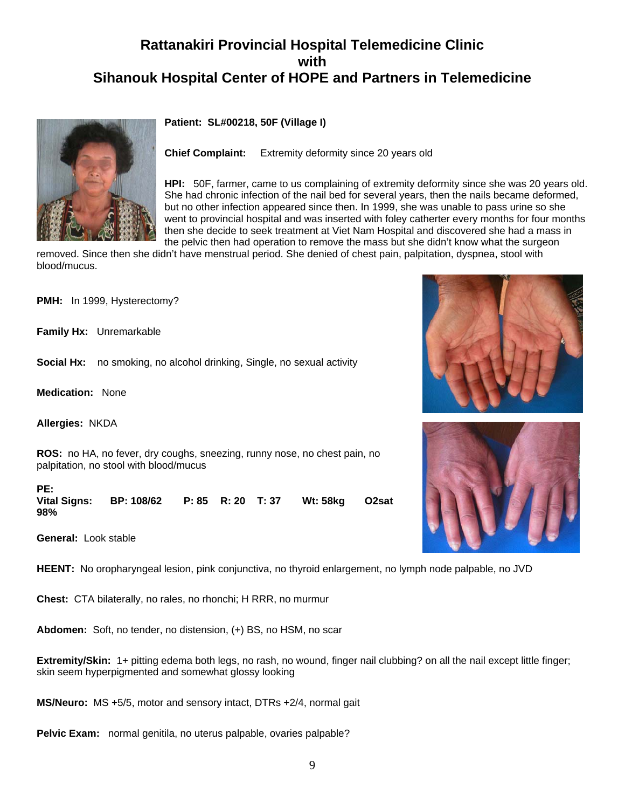**Patient: SL#00218, 50F (Village I)**



**Chief Complaint:** Extremity deformity since 20 years old

**HPI:** 50F, farmer, came to us complaining of extremity deformity since she was 20 years old. She had chronic infection of the nail bed for several years, then the nails became deformed, but no other infection appeared since then. In 1999, she was unable to pass urine so she went to provincial hospital and was inserted with foley catherter every months for four months then she decide to seek treatment at Viet Nam Hospital and discovered she had a mass in the pelvic then had operation to remove the mass but she didn't know what the surgeon

removed. Since then she didn't have menstrual period. She denied of chest pain, palpitation, dyspnea, stool with blood/mucus.

**PMH:** In 1999, Hysterectomy?

**Family Hx:** Unremarkable

**Social Hx:** no smoking, no alcohol drinking, Single, no sexual activity

**Medication:** None

**Allergies:** NKDA

**ROS:** no HA, no fever, dry coughs, sneezing, runny nose, no chest pain, no palpitation, no stool with blood/mucus

PE:<br>Vital Signs: **Vital Signs: BP: 108/62 P: 85 R: 20 T: 37 Wt: 58kg O2sat 98%**

**General:** Look stable

**HEENT:** No oropharyngeal lesion, pink conjunctiva, no thyroid enlargement, no lymph node palpable, no JVD

**Chest:** CTA bilaterally, no rales, no rhonchi; H RRR, no murmur

**Abdomen:** Soft, no tender, no distension, (+) BS, no HSM, no scar

**Extremity/Skin:** 1+ pitting edema both legs, no rash, no wound, finger nail clubbing? on all the nail except little finger; skin seem hyperpigmented and somewhat glossy looking

**MS/Neuro:** MS +5/5, motor and sensory intact, DTRs +2/4, normal gait

**Pelvic Exam:** normal genitila, no uterus palpable, ovaries palpable?



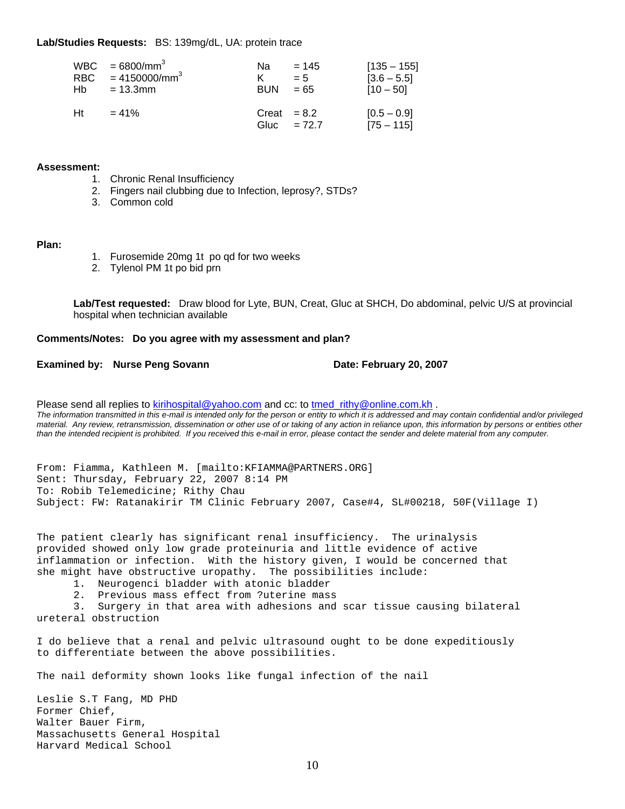#### **Lab/Studies Requests:** BS: 139mg/dL, UA: protein trace

| Hb – | $WBC = 6800/mm^3$<br>RBC $= 4150000/mm^3$<br>$= 13.3$ mm | Na.<br><b>BUN</b> | $= 145$<br>$= 5$<br>$= 65$ | $[135 - 155]$<br>$[3.6 - 5.5]$<br>$[10 - 50]$ |
|------|----------------------------------------------------------|-------------------|----------------------------|-----------------------------------------------|
| Ht   | $= 41\%$                                                 | $Create = 8.2$    | Gluc = $72.7$              | $[0.5 - 0.9]$<br>$[75 - 115]$                 |

#### **Assessment:**

- 1. Chronic Renal Insufficiency
- 2. Fingers nail clubbing due to Infection, leprosy?, STDs?
- 3. Common cold

#### **Plan:**

- 1. Furosemide 20mg 1t po qd for two weeks
- 2. Tylenol PM 1t po bid prn

**Lab/Test requested:** Draw blood for Lyte, BUN, Creat, Gluc at SHCH, Do abdominal, pelvic U/S at provincial hospital when technician available

#### **Comments/Notes: Do you agree with my assessment and plan?**

#### **Examined by: Nurse Peng Sovann Date: February 20, 2007**

Please send all replies to [kirihospital@yahoo.com](mailto:kirihospital@yahoo.com) and cc: to [tmed\\_rithy@online.com.kh](mailto:tmed_rithy@bigpond.com.kh) . *The information transmitted in this e-mail is intended only for the person or entity to which it is addressed and may contain confidential and/or privileged material. Any review, retransmission, dissemination or other use of or taking of any action in reliance upon, this information by persons or entities other than the intended recipient is prohibited. If you received this e-mail in error, please contact the sender and delete material from any computer.*

From: Fiamma, Kathleen M. [mailto:KFIAMMA@PARTNERS.ORG] Sent: Thursday, February 22, 2007 8:14 PM To: Robib Telemedicine; Rithy Chau Subject: FW: Ratanakirir TM Clinic February 2007, Case#4, SL#00218, 50F(Village I)

The patient clearly has significant renal insufficiency. The urinalysis provided showed only low grade proteinuria and little evidence of active inflammation or infection. With the history given, I would be concerned that she might have obstructive uropathy. The possibilities include:

- 1. Neurogenci bladder with atonic bladder
- 2. Previous mass effect from ?uterine mass

 3. Surgery in that area with adhesions and scar tissue causing bilateral ureteral obstruction

I do believe that a renal and pelvic ultrasound ought to be done expeditiously to differentiate between the above possibilities.

The nail deformity shown looks like fungal infection of the nail

Leslie S.T Fang, MD PHD Former Chief, Walter Bauer Firm, Massachusetts General Hospital Harvard Medical School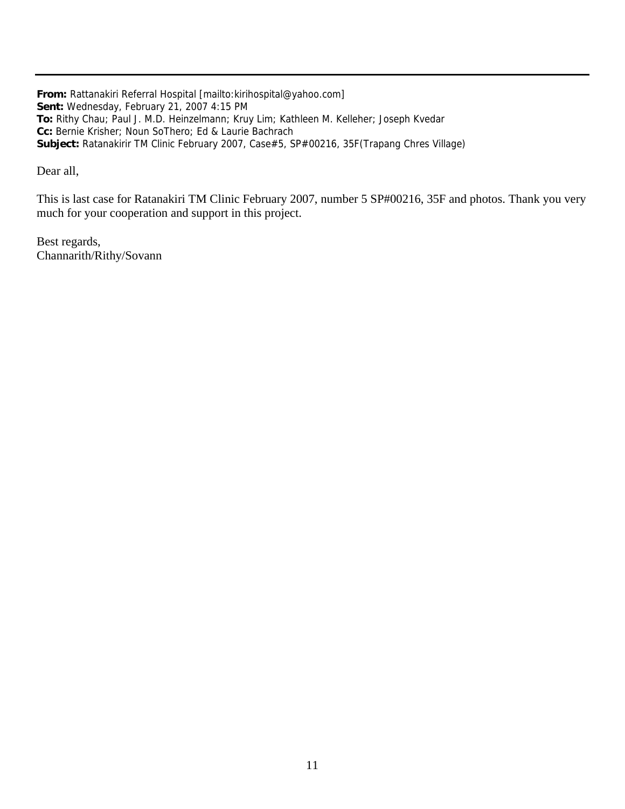**From:** Rattanakiri Referral Hospital [mailto:kirihospital@yahoo.com] **Sent:** Wednesday, February 21, 2007 4:15 PM **To:** Rithy Chau; Paul J. M.D. Heinzelmann; Kruy Lim; Kathleen M. Kelleher; Joseph Kvedar **Cc:** Bernie Krisher; Noun SoThero; Ed & Laurie Bachrach **Subject:** Ratanakirir TM Clinic February 2007, Case#5, SP#00216, 35F(Trapang Chres Village)

Dear all,

This is last case for Ratanakiri TM Clinic February 2007, number 5 SP#00216, 35F and photos. Thank you very much for your cooperation and support in this project.

Best regards, Channarith/Rithy/Sovann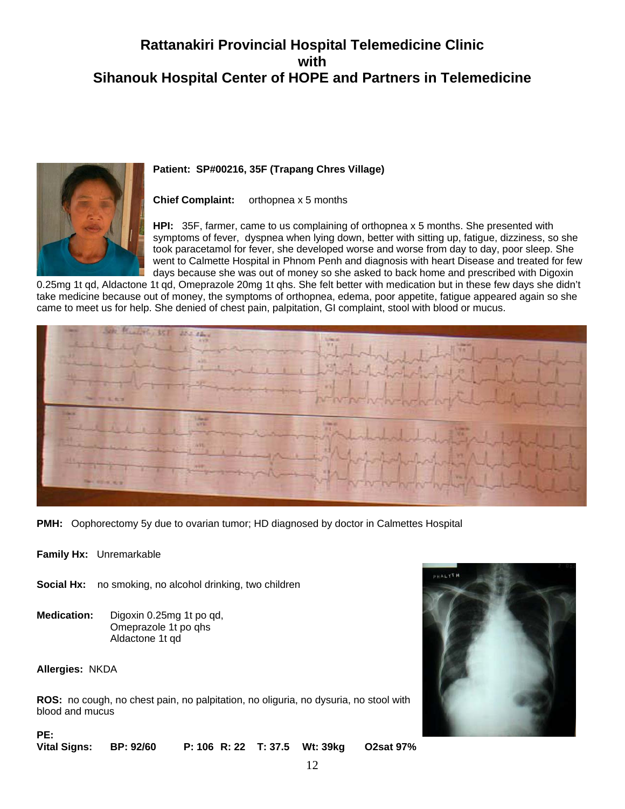

**Patient: SP#00216, 35F (Trapang Chres Village)**

#### **Chief Complaint:** orthopnea x 5 months

**HPI:** 35F, farmer, came to us complaining of orthopnea x 5 months. She presented with symptoms of fever, dyspnea when lying down, better with sitting up, fatigue, dizziness, so she took paracetamol for fever, she developed worse and worse from day to day, poor sleep. She went to Calmette Hospital in Phnom Penh and diagnosis with heart Disease and treated for few days because she was out of money so she asked to back home and prescribed with Digoxin

0.25mg 1t qd, Aldactone 1t qd, Omeprazole 20mg 1t qhs. She felt better with medication but in these few days she didn't take medicine because out of money, the symptoms of orthopnea, edema, poor appetite, fatigue appeared again so she came to meet us for help. She denied of chest pain, palpitation, GI complaint, stool with blood or mucus.



**PMH:** Oophorectomy 5y due to ovarian tumor; HD diagnosed by doctor in Calmettes Hospital

- **Family Hx:** Unremarkable
- **Social Hx:** no smoking, no alcohol drinking, two children
- **Medication:** Digoxin 0.25mg 1t po qd, Omeprazole 1t po qhs Aldactone 1t qd

**Allergies:** NKDA

**PE:** 

**ROS:** no cough, no chest pain, no palpitation, no oliguria, no dysuria, no stool with blood and mucus



**Vital Signs: BP: 92/60 P: 106 R: 22 T: 37.5 Wt: 39kg O2sat 97%**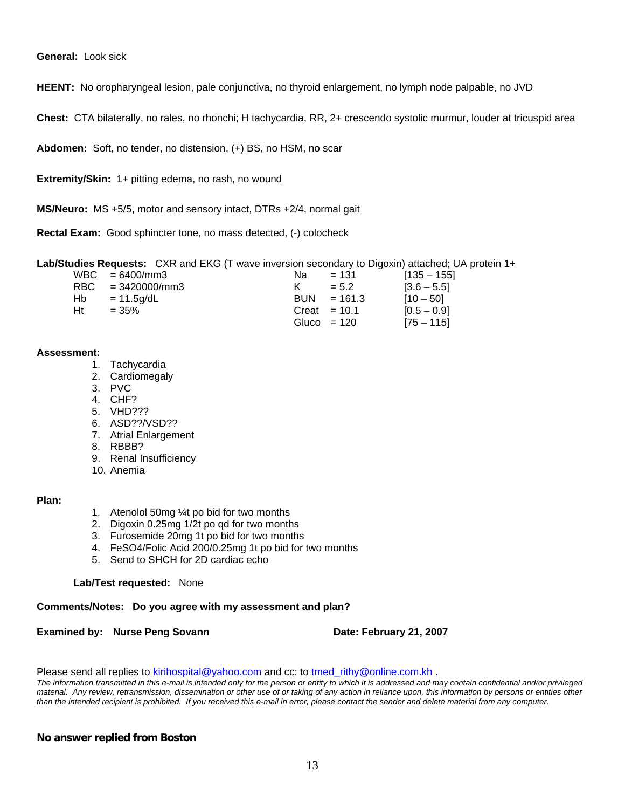**General:** Look sick

**HEENT:** No oropharyngeal lesion, pale conjunctiva, no thyroid enlargement, no lymph node palpable, no JVD

**Chest:** CTA bilaterally, no rales, no rhonchi; H tachycardia, RR, 2+ crescendo systolic murmur, louder at tricuspid area

**Abdomen:** Soft, no tender, no distension, (+) BS, no HSM, no scar

**Extremity/Skin:** 1+ pitting edema, no rash, no wound

**MS/Neuro:** MS +5/5, motor and sensory intact, DTRs +2/4, normal gait

**Rectal Exam:** Good sphincter tone, no mass detected, (-) colocheck

**Lab/Studies Requests:** CXR and EKG (T wave inversion secondary to Digoxin) attached; UA protein 1+

|     | $WBC = 6400/mm3$    | Nа | $= 131$        | $[135 - 155]$ |
|-----|---------------------|----|----------------|---------------|
|     | $RBC = 3420000/mm3$ |    | $= 5.2$        | $[3.6 - 5.5]$ |
| Hb. | = 11.5a/dL          |    | $BUN = 161.3$  | $[10 - 50]$   |
| Ht  | $= 35\%$            |    | Creat $= 10.1$ | $[0.5 - 0.9]$ |
|     |                     |    | Gluco = $120$  | $[75 - 115]$  |

#### **Assessment:**

- 1. Tachycardia
- 2. Cardiomegaly
- 3. PVC
- 4. CHF?
- 5. VHD???
- 6. ASD??/VSD??
- 7. Atrial Enlargement
- 8. RBBB?
- 9. Renal Insufficiency
- 10. Anemia

#### **Plan:**

- 1. Atenolol 50mg ¼t po bid for two months
- 2. Digoxin 0.25mg 1/2t po qd for two months
- 3. Furosemide 20mg 1t po bid for two months
- 4. FeSO4/Folic Acid 200/0.25mg 1t po bid for two months
- 5. Send to SHCH for 2D cardiac echo

**Lab/Test requested:** None

#### **Comments/Notes: Do you agree with my assessment and plan?**

**Examined by: Nurse Peng Sovann Date: February 21, 2007** 

Please send all replies to [kirihospital@yahoo.com](mailto:kirihospital@yahoo.com) and cc: to tmed rithy@online.com.kh .

*The information transmitted in this e-mail is intended only for the person or entity to which it is addressed and may contain confidential and/or privileged material. Any review, retransmission, dissemination or other use of or taking of any action in reliance upon, this information by persons or entities other than the intended recipient is prohibited. If you received this e-mail in error, please contact the sender and delete material from any computer.*

#### **No answer replied from Boston**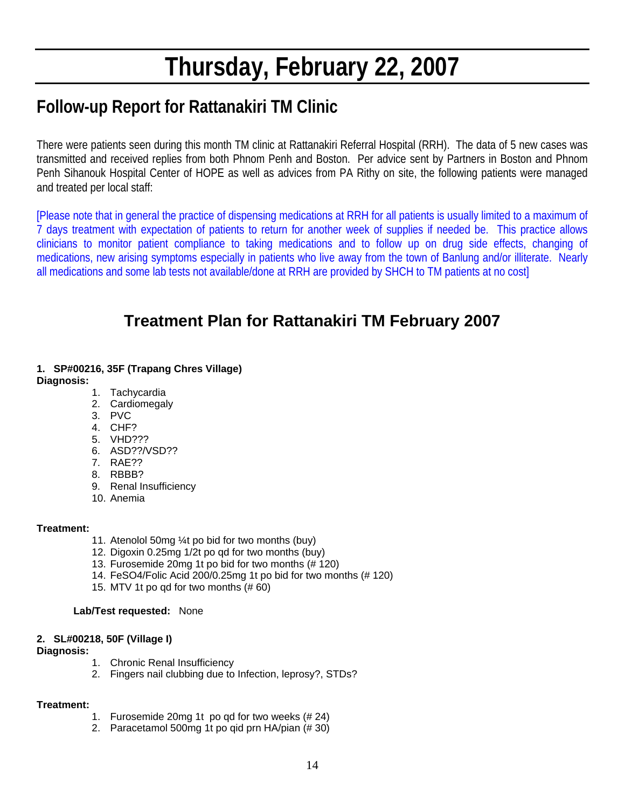# **Thursday, February 22, 2007**

### **Follow-up Report for Rattanakiri TM Clinic**

There were patients seen during this month TM clinic at Rattanakiri Referral Hospital (RRH). The data of 5 new cases was transmitted and received replies from both Phnom Penh and Boston. Per advice sent by Partners in Boston and Phnom Penh Sihanouk Hospital Center of HOPE as well as advices from PA Rithy on site, the following patients were managed and treated per local staff:

[Please note that in general the practice of dispensing medications at RRH for all patients is usually limited to a maximum of 7 days treatment with expectation of patients to return for another week of supplies if needed be. This practice allows clinicians to monitor patient compliance to taking medications and to follow up on drug side effects, changing of medications, new arising symptoms especially in patients who live away from the town of Banlung and/or illiterate. Nearly all medications and some lab tests not available/done at RRH are provided by SHCH to TM patients at no cost]

### **Treatment Plan for Rattanakiri TM February 2007**

#### **1. SP#00216, 35F (Trapang Chres Village) Diagnosis:**

- 1. Tachycardia
- 2. Cardiomegaly
- 3. PVC
- 4. CHF?
- 5. VHD???
- 6. ASD??/VSD??
- 7. RAE??
- 8. RBBB?
- 9. Renal Insufficiency
- 10. Anemia

#### **Treatment:**

- 11. Atenolol 50mg ¼t po bid for two months (buy)
- 12. Digoxin 0.25mg 1/2t po qd for two months (buy)
- 13. Furosemide 20mg 1t po bid for two months (# 120)
- 14. FeSO4/Folic Acid 200/0.25mg 1t po bid for two months (# 120)
- 15. MTV 1t po qd for two months (# 60)

#### **Lab/Test requested:** None

#### **2. SL#00218, 50F (Village I)**

#### **Diagnosis:**

- 1. Chronic Renal Insufficiency
- 2. Fingers nail clubbing due to Infection, leprosy?, STDs?

- 1. Furosemide 20mg 1t po qd for two weeks (# 24)
- 2. Paracetamol 500mg 1t po qid prn HA/pian (# 30)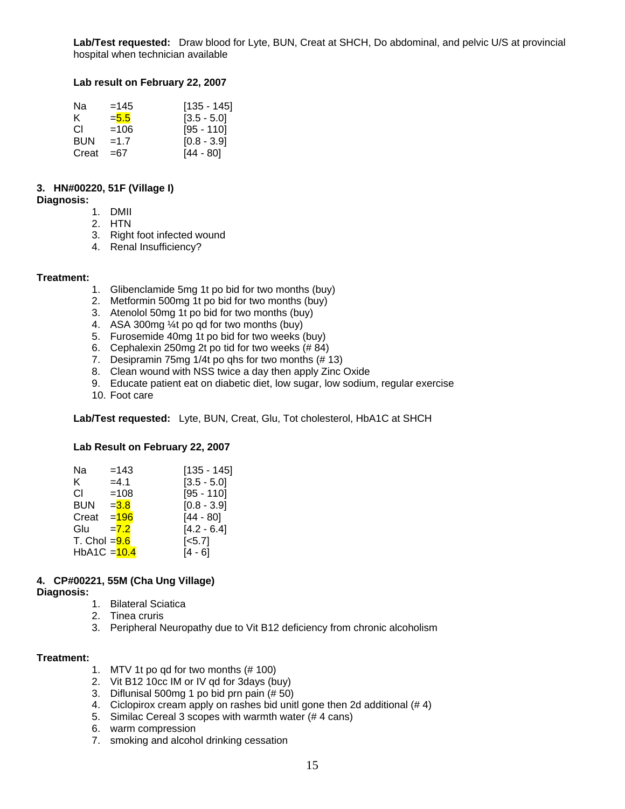**Lab/Test requested:** Draw blood for Lyte, BUN, Creat at SHCH, Do abdominal, and pelvic U/S at provincial hospital when technician available

#### **Lab result on February 22, 2007**

| Nа    | $=145$  | $[135 - 145]$ |
|-------|---------|---------------|
| ĸ.    | $= 5.5$ | $[3.5 - 5.0]$ |
| CL.   | $=106$  | [95 - 110]    |
| BUN   | $=1.7$  | $[0.8 - 3.9]$ |
| Creat | $=67$   | $[44 - 80]$   |

#### **3. HN#00220, 51F (Village I)**

#### **Diagnosis:**

- 1. DMII
- 2. HTN
- 3. Right foot infected wound
- 4. Renal Insufficiency?

#### **Treatment:**

- 1. Glibenclamide 5mg 1t po bid for two months (buy)
- 2. Metformin 500mg 1t po bid for two months (buy)
- 3. Atenolol 50mg 1t po bid for two months (buy)
- 4. ASA 300mg ¼t po qd for two months (buy)
- 5. Furosemide 40mg 1t po bid for two weeks (buy)
- 6. Cephalexin 250mg 2t po tid for two weeks (# 84)
- 7. Desipramin 75mg  $1/4t$  po qhs for two months  $(# 13)$
- 8. Clean wound with NSS twice a day then apply Zinc Oxide
- 9. Educate patient eat on diabetic diet, low sugar, low sodium, regular exercise
- 10. Foot care

**Lab/Test requested:** Lyte, BUN, Creat, Glu, Tot cholesterol, HbA1C at SHCH

#### **Lab Result on February 22, 2007**

| Na             | $=143$  | $[135 - 145]$      |
|----------------|---------|--------------------|
| K.             | $=4.1$  | $[3.5 - 5.0]$      |
| СI             | $=108$  | $[95 - 110]$       |
| <b>BUN</b>     | $= 3.8$ | $[0.8 - 3.9]$      |
| Creat          | $= 196$ | $[44 - 80]$        |
| Glu            | $=7.2$  | $[4.2 - 6.4]$      |
| T. Chol $=9.6$ |         | [ <sub>5.7</sub> ] |
| HbA1C = 10.4   |         | [4 - 6]            |

#### **4. CP#00221, 55M (Cha Ung Village)**

#### **Diagnosis:**

- 1. Bilateral Sciatica
- 2. Tinea cruris
- 3. Peripheral Neuropathy due to Vit B12 deficiency from chronic alcoholism

- 1. MTV 1t po qd for two months (# 100)
- 2. Vit B12 10cc IM or IV qd for 3days (buy)
- 3. Diflunisal 500mg 1 po bid prn pain (# 50)
- 4. Ciclopirox cream apply on rashes bid unitl gone then 2d additional (# 4)
- 5. Similac Cereal 3 scopes with warmth water (# 4 cans)
- 6. warm compression
- 7. smoking and alcohol drinking cessation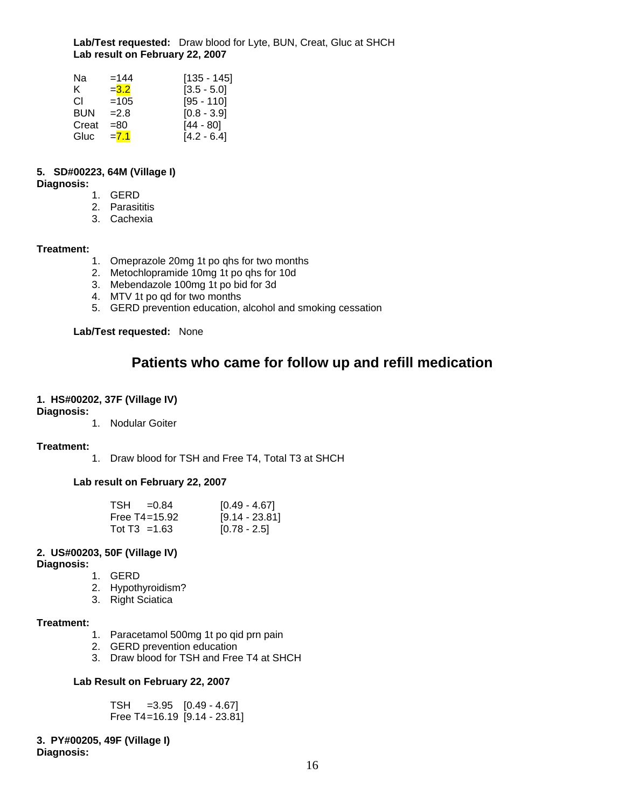**Lab/Test requested:** Draw blood for Lyte, BUN, Creat, Gluc at SHCH  **Lab result on February 22, 2007** 

| Na    | $=144$  | $[135 - 145]$ |
|-------|---------|---------------|
| ĸ.    | $= 3.2$ | $[3.5 - 5.0]$ |
| CL.   | $=105$  | $[95 - 110]$  |
| BUN   | $=2.8$  | $[0.8 - 3.9]$ |
| Creat | $= 80$  | $[44 - 80]$   |
| Gluc  | $= 7.1$ | $[4.2 - 6.4]$ |

#### **5. SD#00223, 64M (Village I)**

**Diagnosis:**

- 1. GERD
- 2. Parasititis
- 3. Cachexia

#### **Treatment:**

- 1. Omeprazole 20mg 1t po qhs for two months
- 2. Metochlopramide 10mg 1t po qhs for 10d
- 3. Mebendazole 100mg 1t po bid for 3d
- 4. MTV 1t po qd for two months
- 5. GERD prevention education, alcohol and smoking cessation

#### **Lab/Test requested:** None

### **Patients who came for follow up and refill medication**

#### **1. HS#00202, 37F (Village IV)**

#### **Diagnosis:**

1. Nodular Goiter

#### **Treatment:**

1. Draw blood for TSH and Free T4, Total T3 at SHCH

#### **Lab result on February 22, 2007**

| $TSH = 0.84$      | [0.49 - 4.67]    |
|-------------------|------------------|
| Free $T4 = 15.92$ | $[9.14 - 23.81]$ |
| Tot T3 = 1.63     | $[0.78 - 2.5]$   |

#### **2. US#00203, 50F (Village IV)**

**Diagnosis:**

- 1. GERD
- 2. Hypothyroidism?
- 3. Right Sciatica

#### **Treatment:**

- 1. Paracetamol 500mg 1t po qid prn pain
- 2. GERD prevention education
- 3. Draw blood for TSH and Free T4 at SHCH

#### **Lab Result on February 22, 2007**

 TSH =3.95 [0.49 - 4.67] Free T4 =16.19 [9.14 - 23.81]

**3. PY#00205, 49F (Village I) Diagnosis:**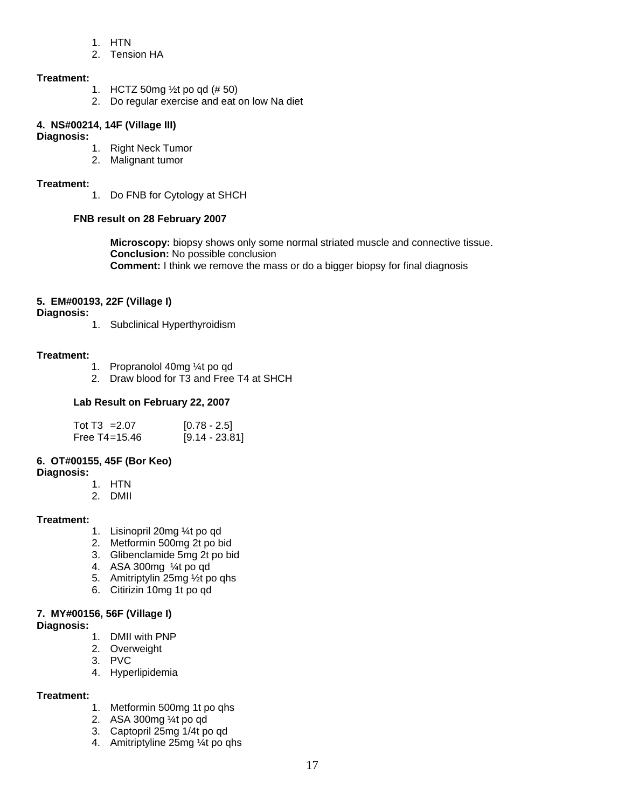- 1. HTN
- 2. Tension HA

#### **Treatment:**

- 1. HCTZ 50mg ½t po qd (# 50)
- 2. Do regular exercise and eat on low Na diet

### **4. NS#00214, 14F (Village III)**

#### **Diagnosis:**

- 1. Right Neck Tumor
- 2. Malignant tumor

#### **Treatment:**

1. Do FNB for Cytology at SHCH

#### **FNB result on 28 February 2007**

 **Microscopy:** biopsy shows only some normal striated muscle and connective tissue.  **Conclusion:** No possible conclusion **Comment:** I think we remove the mass or do a bigger biopsy for final diagnosis

#### **5. EM#00193, 22F (Village I)**

**Diagnosis:**

1. Subclinical Hyperthyroidism

#### **Treatment:**

- 1. Propranolol 40mg ¼t po qd
- 2. Draw blood for T3 and Free T4 at SHCH

#### **Lab Result on February 22, 2007**

| Tot T3 = $2.07$   | $[0.78 - 2.5]$   |
|-------------------|------------------|
| Free $T4 = 15.46$ | $[9.14 - 23.81]$ |

#### **6. OT#00155, 45F (Bor Keo)**

**Diagnosis:** 

- 1. HTN
- 2. DMII

#### **Treatment:**

- 1. Lisinopril 20mg ¼t po qd
- 2. Metformin 500mg 2t po bid
- 3. Glibenclamide 5mg 2t po bid
- 4. ASA 300mg ¼t po qd
- 5. Amitriptylin 25mg ½t po qhs
- 6. Citirizin 10mg 1t po qd

#### **7. MY#00156, 56F (Village I)**

#### **Diagnosis:**

- 1. DMII with PNP
- 2. Overweight
- 3. PVC
- 4. Hyperlipidemia

- 1. Metformin 500mg 1t po qhs
- 2. ASA 300mg ¼t po qd
- 3. Captopril 25mg 1/4t po qd
- 4. Amitriptyline 25mg ¼t po qhs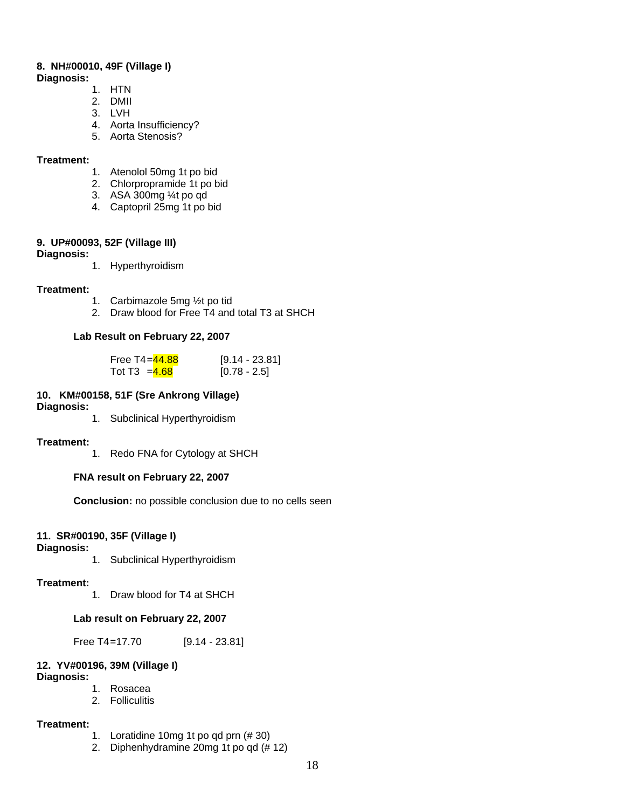#### **8. NH#00010, 49F (Village I)**

#### **Diagnosis:**

- 1. HTN
- 2. DMII
- 3. LVH
- 4. Aorta Insufficiency?
- 5. Aorta Stenosis?

#### **Treatment:**

- 1. Atenolol 50mg 1t po bid
- 2. Chlorpropramide 1t po bid
- 3. ASA 300mg ¼t po qd
- 4. Captopril 25mg 1t po bid

#### **9. UP#00093, 52F (Village III)**

#### **Diagnosis:**

1. Hyperthyroidism

#### **Treatment:**

- 1. Carbimazole 5mg ½t po tid
- 2. Draw blood for Free T4 and total T3 at SHCH

#### **Lab Result on February 22, 2007**

| Free T4 <i>=</i> 44.88 | $[9.14 - 23.81]$ |
|------------------------|------------------|
| Tot T3 = $4.68$        | $[0.78 - 2.5]$   |

#### **10. KM#00158, 51F (Sre Ankrong Village)**

#### **Diagnosis:**

1. Subclinical Hyperthyroidism

#### **Treatment:**

1. Redo FNA for Cytology at SHCH

#### **FNA result on February 22, 2007**

 **Conclusion:** no possible conclusion due to no cells seen

#### **11. SR#00190, 35F (Village I)**

#### **Diagnosis:**

1. Subclinical Hyperthyroidism

#### **Treatment:**

1. Draw blood for T4 at SHCH

#### **Lab result on February 22, 2007**

Free T4=17.70 [9.14 - 23.81]

#### **12. YV#00196, 39M (Village I) Diagnosis:**

- 1. Rosacea
- 2. Folliculitis

- 1. Loratidine 10mg 1t po qd prn (# 30)
- 2. Diphenhydramine 20mg 1t po qd (# 12)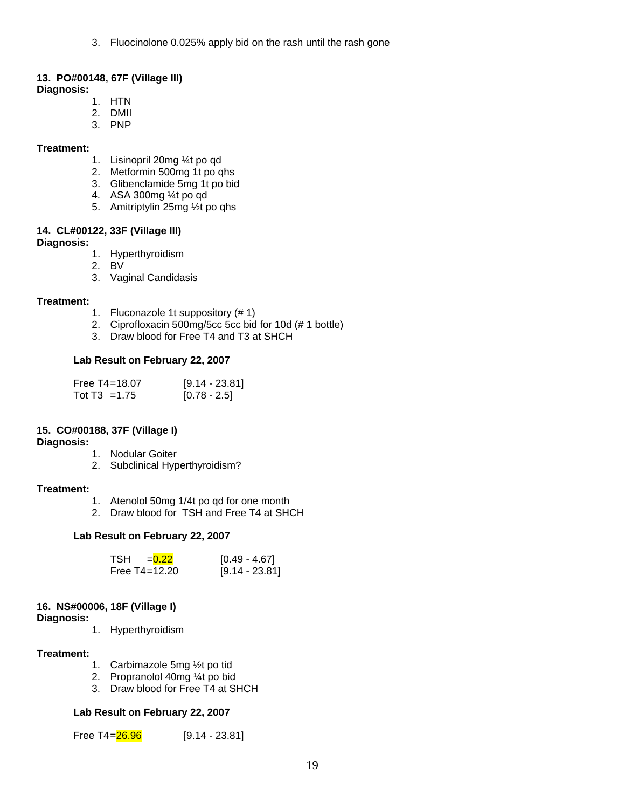3. Fluocinolone 0.025% apply bid on the rash until the rash gone

#### **13. PO#00148, 67F (Village III)**

**Diagnosis:** 

- 1. HTN
- 2. DMII
- 3. PNP

#### **Treatment:**

- 1. Lisinopril 20mg ¼t po qd
- 2. Metformin 500mg 1t po qhs
- 3. Glibenclamide 5mg 1t po bid
- 4. ASA 300mg ¼t po qd
- 5. Amitriptylin 25mg ½t po qhs

#### **14. CL#00122, 33F (Village III)**

**Diagnosis:** 

- 1. Hyperthyroidism
- 2. BV
- 3. Vaginal Candidasis

#### **Treatment:**

- 1. Fluconazole 1t suppository (# 1)
- 2. Ciprofloxacin 500mg/5cc 5cc bid for 10d (# 1 bottle)
- 3. Draw blood for Free T4 and T3 at SHCH

#### **Lab Result on February 22, 2007**

| Free $T4 = 18.07$ | $[9.14 - 23.81]$ |
|-------------------|------------------|
| Tot T3 = 1.75     | $[0.78 - 2.5]$   |

#### **15. CO#00188, 37F (Village I)**

#### **Diagnosis:**

- 1. Nodular Goiter
- 2. Subclinical Hyperthyroidism?

#### **Treatment:**

- 1. Atenolol 50mg 1/4t po qd for one month
- 2. Draw blood for TSH and Free T4 at SHCH

#### **Lab Result on February 22, 2007**

| $TSH = 0.22$      | $[0.49 - 4.67]$  |
|-------------------|------------------|
| Free $T4 = 12.20$ | $[9.14 - 23.81]$ |

#### **16. NS#00006, 18F (Village I)**

**Diagnosis:** 

1. Hyperthyroidism

#### **Treatment:**

- 1. Carbimazole 5mg ½t po tid
- 2. Propranolol 40mg ¼t po bid
- 3. Draw blood for Free T4 at SHCH

#### **Lab Result on February 22, 2007**

Free T4= $26.96$  [9.14 - 23.81]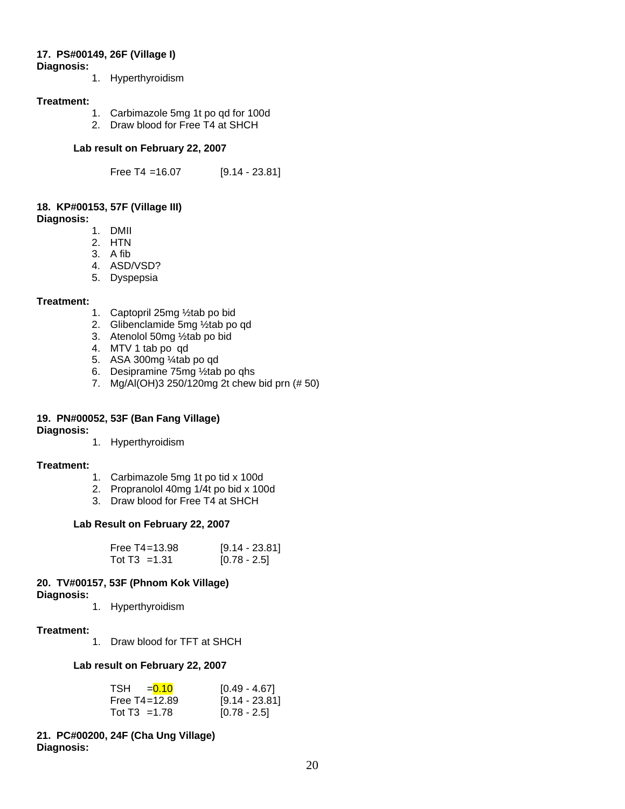### **17. PS#00149, 26F (Village I)**

**Diagnosis:** 

1. Hyperthyroidism

#### **Treatment:**

- 1. Carbimazole 5mg 1t po qd for 100d
- 2. Draw blood for Free T4 at SHCH

#### **Lab result on February 22, 2007**

Free T4 =16.07 [9.14 - 23.81]

#### **18. KP#00153, 57F (Village III) Diagnosis:**

1. DMII

- 2. HTN
- 3. A fib
- 4. ASD/VSD?
- 5. Dyspepsia

#### **Treatment:**

- 1. Captopril 25mg ½tab po bid
- 2. Glibenclamide 5mg ½tab po qd
- 3. Atenolol 50mg ½tab po bid
- 4. MTV 1 tab po qd
- 5. ASA 300mg ¼tab po qd
- 6. Desipramine 75mg ½tab po qhs
- 7. Mg/Al(OH)3 250/120mg 2t chew bid prn (# 50)

### **19. PN#00052, 53F (Ban Fang Village)**

**Diagnosis:** 

1. Hyperthyroidism

#### **Treatment:**

- 1. Carbimazole 5mg 1t po tid x 100d
- 2. Propranolol 40mg 1/4t po bid x 100d
- 3. Draw blood for Free T4 at SHCH

#### **Lab Result on February 22, 2007**

| Free $T4 = 13.98$ | $[9.14 - 23.81]$ |
|-------------------|------------------|
| Tot $T3 = 1.31$   | $[0.78 - 2.5]$   |

### **20. TV#00157, 53F (Phnom Kok Village)**

**Diagnosis:** 

1. Hyperthyroidism

#### **Treatment:**

1. Draw blood for TFT at SHCH

#### **Lab result on February 22, 2007**

| $TSH = 0.10$      | $[0.49 - 4.67]$  |
|-------------------|------------------|
| Free $T4 = 12.89$ | $[9.14 - 23.81]$ |
| Tot T3 = 1.78     | $[0.78 - 2.5]$   |

#### **21. PC#00200, 24F (Cha Ung Village) Diagnosis:**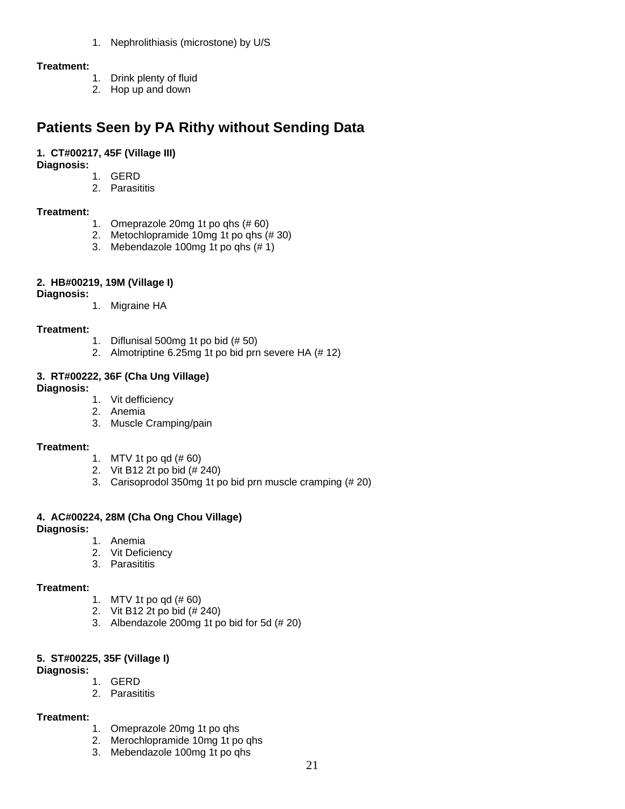1. Nephrolithiasis (microstone) by U/S

#### **Treatment:**

- 1. Drink plenty of fluid
- 2. Hop up and down

### **Patients Seen by PA Rithy without Sending Data**

#### **1. CT#00217, 45F (Village III)**

**Diagnosis:** 

- 1. GERD
- 2. Parasititis

#### **Treatment:**

- 1. Omeprazole 20mg 1t po qhs (# 60)
- 2. Metochlopramide 10mg 1t po qhs (# 30)
- 3. Mebendazole 100mg 1t po qhs (# 1)

#### **2. HB#00219, 19M (Village I)**

**Diagnosis:** 

1. Migraine HA

#### **Treatment:**

- 1. Diflunisal 500mg 1t po bid (# 50)
- 2. Almotriptine 6.25mg 1t po bid prn severe HA (# 12)

#### **3. RT#00222, 36F (Cha Ung Village)**

#### **Diagnosis:**

- 1. Vit defficiency
- 2. Anemia
- 3. Muscle Cramping/pain

#### **Treatment:**

- 1. MTV 1t po qd (# 60)
- 2. Vit B12 2t po bid (# 240)
- 3. Carisoprodol 350mg 1t po bid prn muscle cramping (# 20)

#### **4. AC#00224, 28M (Cha Ong Chou Village)**

**Diagnosis:** 

- 1. Anemia
- 2. Vit Deficiency
- 3. Parasititis

#### **Treatment:**

- 1. MTV 1t po qd (# 60)
- 2. Vit B12 2t po bid (# 240)
- 3. Albendazole 200mg 1t po bid for 5d (# 20)

#### **5. ST#00225, 35F (Village I)**

- **Diagnosis:** 
	- 1. GERD
	- 2. Parasititis

- 1. Omeprazole 20mg 1t po qhs
- 2. Merochlopramide 10mg 1t po qhs
- 3. Mebendazole 100mg 1t po qhs